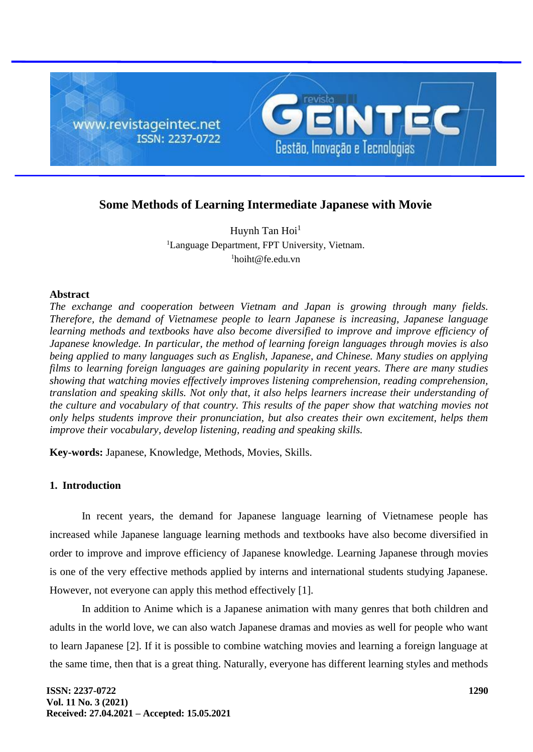

# **Some Methods of Learning Intermediate Japanese with Movie**

Huynh Tan  $Hoi<sup>1</sup>$ <sup>1</sup>Language Department, FPT University, Vietnam.  $1$ hoiht@fe.edu.vn

# **Abstract**

*The exchange and cooperation between Vietnam and Japan is growing through many fields. Therefore, the demand of Vietnamese people to learn Japanese is increasing, Japanese language learning methods and textbooks have also become diversified to improve and improve efficiency of Japanese knowledge. In particular, the method of learning foreign languages through movies is also being applied to many languages such as English, Japanese, and Chinese. Many studies on applying films to learning foreign languages are gaining popularity in recent years. There are many studies showing that watching movies effectively improves listening comprehension, reading comprehension, translation and speaking skills. Not only that, it also helps learners increase their understanding of the culture and vocabulary of that country. This results of the paper show that watching movies not only helps students improve their pronunciation, but also creates their own excitement, helps them improve their vocabulary, develop listening, reading and speaking skills.*

**Key-words:** Japanese, Knowledge, Methods, Movies, Skills.

# **1. Introduction**

In recent years, the demand for Japanese language learning of Vietnamese people has increased while Japanese language learning methods and textbooks have also become diversified in order to improve and improve efficiency of Japanese knowledge. Learning Japanese through movies is one of the very effective methods applied by interns and international students studying Japanese. However, not everyone can apply this method effectively [1].

In addition to Anime which is a Japanese animation with many genres that both children and adults in the world love, we can also watch Japanese dramas and movies as well for people who want to learn Japanese [2]. If it is possible to combine watching movies and learning a foreign language at the same time, then that is a great thing. Naturally, everyone has different learning styles and methods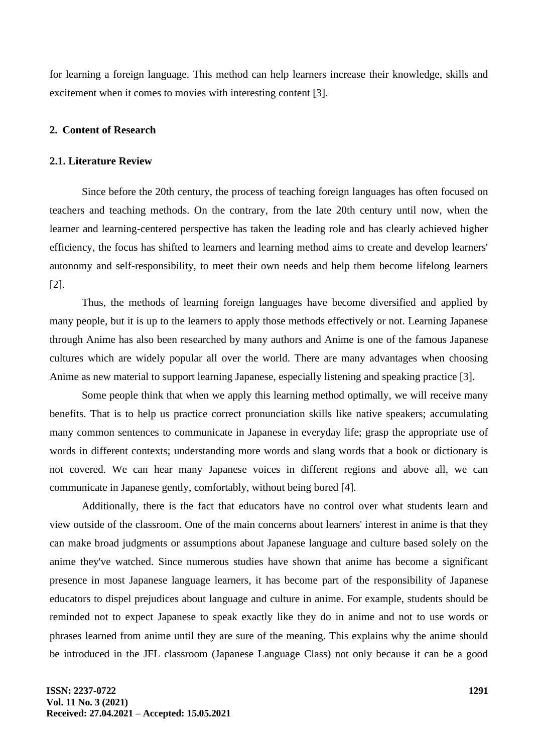for learning a foreign language. This method can help learners increase their knowledge, skills and excitement when it comes to movies with interesting content [3].

## **2. Content of Research**

## **2.1. Literature Review**

Since before the 20th century, the process of teaching foreign languages has often focused on teachers and teaching methods. On the contrary, from the late 20th century until now, when the learner and learning-centered perspective has taken the leading role and has clearly achieved higher efficiency, the focus has shifted to learners and learning method aims to create and develop learners' autonomy and self-responsibility, to meet their own needs and help them become lifelong learners [2].

Thus, the methods of learning foreign languages have become diversified and applied by many people, but it is up to the learners to apply those methods effectively or not. Learning Japanese through Anime has also been researched by many authors and Anime is one of the famous Japanese cultures which are widely popular all over the world. There are many advantages when choosing Anime as new material to support learning Japanese, especially listening and speaking practice [3].

Some people think that when we apply this learning method optimally, we will receive many benefits. That is to help us practice correct pronunciation skills like native speakers; accumulating many common sentences to communicate in Japanese in everyday life; grasp the appropriate use of words in different contexts; understanding more words and slang words that a book or dictionary is not covered. We can hear many Japanese voices in different regions and above all, we can communicate in Japanese gently, comfortably, without being bored [4].

Additionally, there is the fact that educators have no control over what students learn and view outside of the classroom. One of the main concerns about learners' interest in anime is that they can make broad judgments or assumptions about Japanese language and culture based solely on the anime they've watched. Since numerous studies have shown that anime has become a significant presence in most Japanese language learners, it has become part of the responsibility of Japanese educators to dispel prejudices about language and culture in anime. For example, students should be reminded not to expect Japanese to speak exactly like they do in anime and not to use words or phrases learned from anime until they are sure of the meaning. This explains why the anime should be introduced in the JFL classroom (Japanese Language Class) not only because it can be a good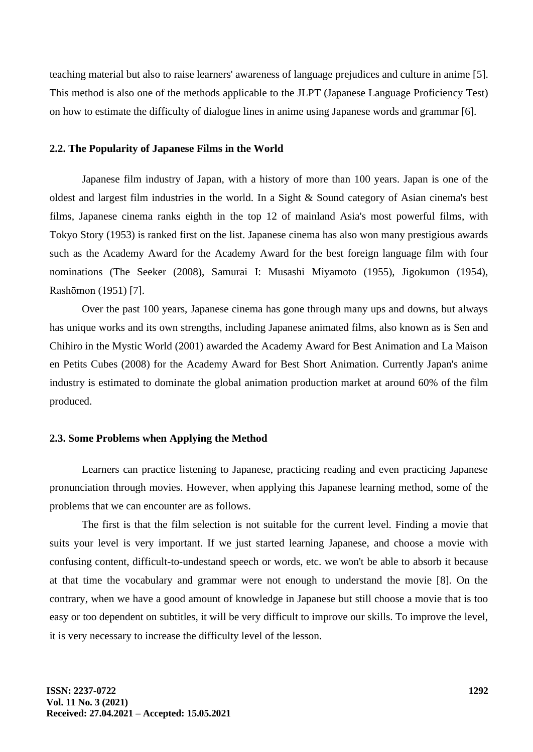teaching material but also to raise learners' awareness of language prejudices and culture in anime [5]. This method is also one of the methods applicable to the JLPT (Japanese Language Proficiency Test) on how to estimate the difficulty of dialogue lines in anime using Japanese words and grammar [6].

#### **2.2. The Popularity of Japanese Films in the World**

Japanese film industry of Japan, with a history of more than 100 years. Japan is one of the oldest and largest film industries in the world. In a Sight & Sound category of Asian cinema's best films, Japanese cinema ranks eighth in the top 12 of mainland Asia's most powerful films, with Tokyo Story (1953) is ranked first on the list. Japanese cinema has also won many prestigious awards such as the Academy Award for the Academy Award for the best foreign language film with four nominations (The Seeker (2008), Samurai I: Musashi Miyamoto (1955), Jigokumon (1954), Rashōmon (1951) [7].

Over the past 100 years, Japanese cinema has gone through many ups and downs, but always has unique works and its own strengths, including Japanese animated films, also known as is Sen and Chihiro in the Mystic World (2001) awarded the Academy Award for Best Animation and La Maison en Petits Cubes (2008) for the Academy Award for Best Short Animation. Currently Japan's anime industry is estimated to dominate the global animation production market at around 60% of the film produced.

#### **2.3. Some Problems when Applying the Method**

Learners can practice listening to Japanese, practicing reading and even practicing Japanese pronunciation through movies. However, when applying this Japanese learning method, some of the problems that we can encounter are as follows.

The first is that the film selection is not suitable for the current level. Finding a movie that suits your level is very important. If we just started learning Japanese, and choose a movie with confusing content, difficult-to-undestand speech or words, etc. we won't be able to absorb it because at that time the vocabulary and grammar were not enough to understand the movie [8]. On the contrary, when we have a good amount of knowledge in Japanese but still choose a movie that is too easy or too dependent on subtitles, it will be very difficult to improve our skills. To improve the level, it is very necessary to increase the difficulty level of the lesson.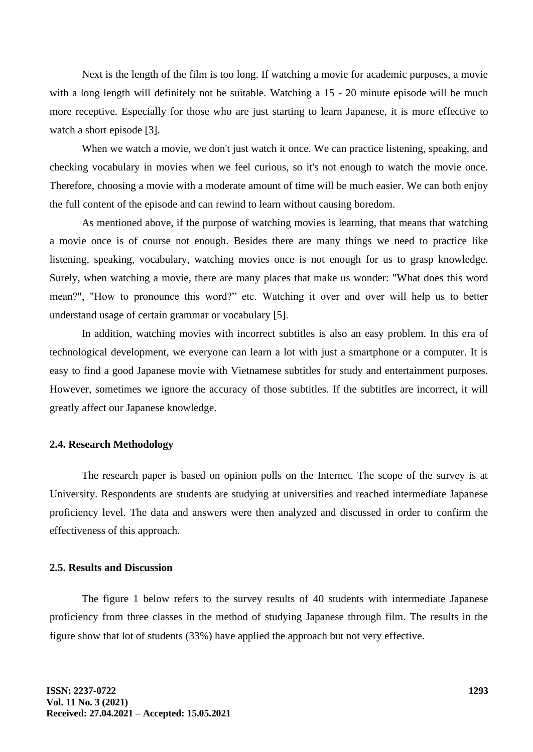Next is the length of the film is too long. If watching a movie for academic purposes, a movie with a long length will definitely not be suitable. Watching a 15 - 20 minute episode will be much more receptive. Especially for those who are just starting to learn Japanese, it is more effective to watch a short episode [3].

When we watch a movie, we don't just watch it once. We can practice listening, speaking, and checking vocabulary in movies when we feel curious, so it's not enough to watch the movie once. Therefore, choosing a movie with a moderate amount of time will be much easier. We can both enjoy the full content of the episode and can rewind to learn without causing boredom.

As mentioned above, if the purpose of watching movies is learning, that means that watching a movie once is of course not enough. Besides there are many things we need to practice like listening, speaking, vocabulary, watching movies once is not enough for us to grasp knowledge. Surely, when watching a movie, there are many places that make us wonder: "What does this word mean?", "How to pronounce this word?" etc. Watching it over and over will help us to better understand usage of certain grammar or vocabulary [5].

In addition, watching movies with incorrect subtitles is also an easy problem. In this era of technological development, we everyone can learn a lot with just a smartphone or a computer. It is easy to find a good Japanese movie with Vietnamese subtitles for study and entertainment purposes. However, sometimes we ignore the accuracy of those subtitles. If the subtitles are incorrect, it will greatly affect our Japanese knowledge.

# **2.4. Research Methodology**

The research paper is based on opinion polls on the Internet. The scope of the survey is at University. Respondents are students are studying at universities and reached intermediate Japanese proficiency level. The data and answers were then analyzed and discussed in order to confirm the effectiveness of this approach.

# **2.5. Results and Discussion**

The figure 1 below refers to the survey results of 40 students with intermediate Japanese proficiency from three classes in the method of studying Japanese through film. The results in the figure show that lot of students (33%) have applied the approach but not very effective.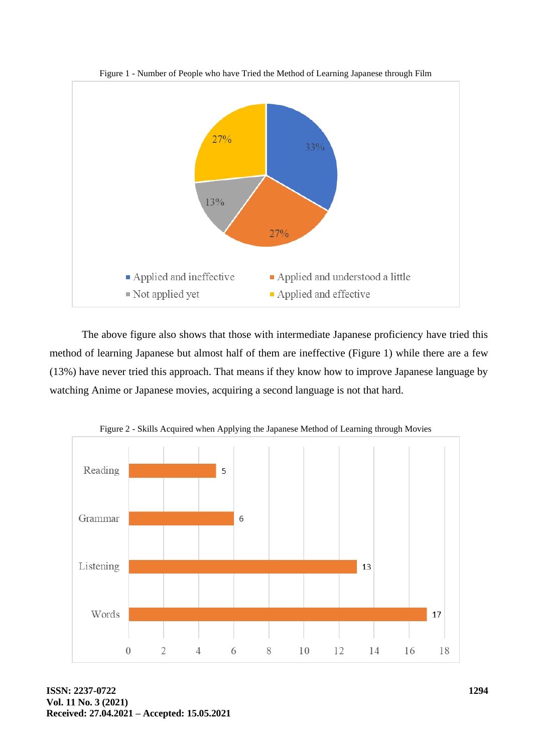

Figure 1 - Number of People who have Tried the Method of Learning Japanese through Film

The above figure also shows that those with intermediate Japanese proficiency have tried this method of learning Japanese but almost half of them are ineffective (Figure 1) while there are a few (13%) have never tried this approach. That means if they know how to improve Japanese language by watching Anime or Japanese movies, acquiring a second language is not that hard.



Figure 2 - Skills Acquired when Applying the Japanese Method of Learning through Movies

**ISSN: 2237-0722 Vol. 11 No. 3 (2021) Received: 27.04.2021 – Accepted: 15.05.2021**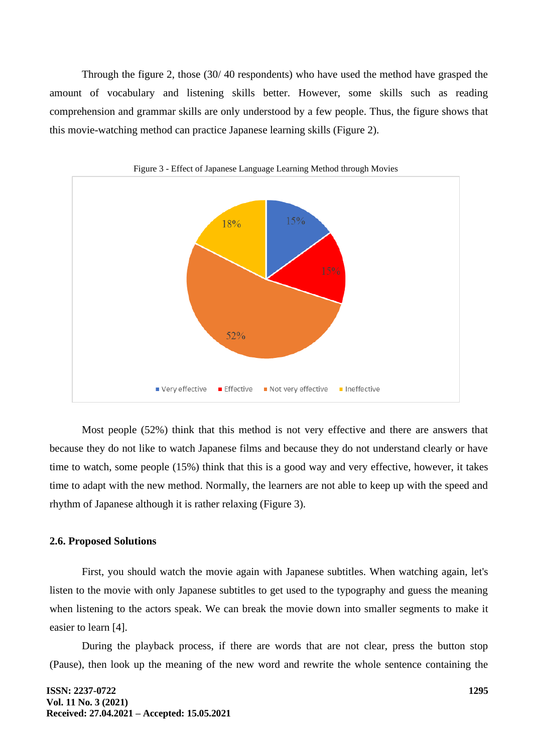Through the figure 2, those (30/ 40 respondents) who have used the method have grasped the amount of vocabulary and listening skills better. However, some skills such as reading comprehension and grammar skills are only understood by a few people. Thus, the figure shows that this movie-watching method can practice Japanese learning skills (Figure 2).





Most people (52%) think that this method is not very effective and there are answers that because they do not like to watch Japanese films and because they do not understand clearly or have time to watch, some people (15%) think that this is a good way and very effective, however, it takes time to adapt with the new method. Normally, the learners are not able to keep up with the speed and rhythm of Japanese although it is rather relaxing (Figure 3).

#### **2.6. Proposed Solutions**

First, you should watch the movie again with Japanese subtitles. When watching again, let's listen to the movie with only Japanese subtitles to get used to the typography and guess the meaning when listening to the actors speak. We can break the movie down into smaller segments to make it easier to learn [4].

During the playback process, if there are words that are not clear, press the button stop (Pause), then look up the meaning of the new word and rewrite the whole sentence containing the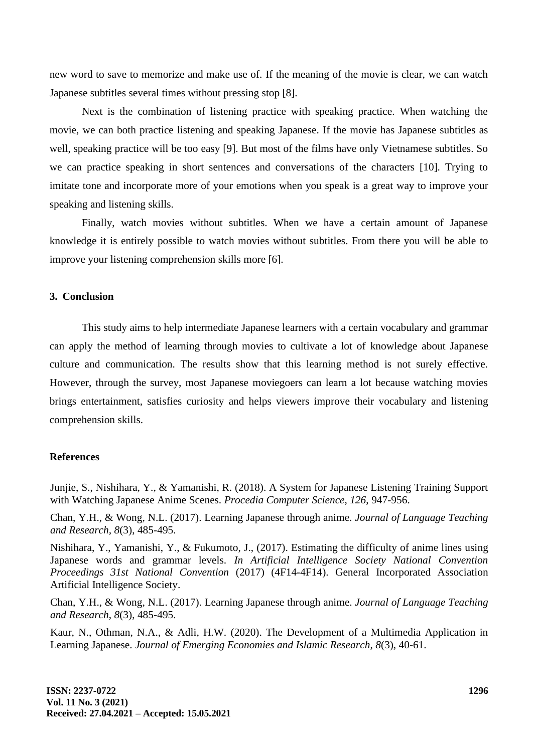new word to save to memorize and make use of. If the meaning of the movie is clear, we can watch Japanese subtitles several times without pressing stop [8].

Next is the combination of listening practice with speaking practice. When watching the movie, we can both practice listening and speaking Japanese. If the movie has Japanese subtitles as well, speaking practice will be too easy [9]. But most of the films have only Vietnamese subtitles. So we can practice speaking in short sentences and conversations of the characters [10]. Trying to imitate tone and incorporate more of your emotions when you speak is a great way to improve your speaking and listening skills.

Finally, watch movies without subtitles. When we have a certain amount of Japanese knowledge it is entirely possible to watch movies without subtitles. From there you will be able to improve your listening comprehension skills more [6].

## **3. Conclusion**

This study aims to help intermediate Japanese learners with a certain vocabulary and grammar can apply the method of learning through movies to cultivate a lot of knowledge about Japanese culture and communication. The results show that this learning method is not surely effective. However, through the survey, most Japanese moviegoers can learn a lot because watching movies brings entertainment, satisfies curiosity and helps viewers improve their vocabulary and listening comprehension skills.

# **References**

Junjie, S., Nishihara, Y., & Yamanishi, R. (2018). A System for Japanese Listening Training Support with Watching Japanese Anime Scenes. *Procedia Computer Science*, *126*, 947-956.

Chan, Y.H., & Wong, N.L. (2017). Learning Japanese through anime. *Journal of Language Teaching and Research, 8*(3), 485-495.

Nishihara, Y., Yamanishi, Y., & Fukumoto, J., (2017). Estimating the difficulty of anime lines using Japanese words and grammar levels. *In Artificial Intelligence Society National Convention Proceedings 31st National Convention* (2017) (4F14-4F14). General Incorporated Association Artificial Intelligence Society.

Chan, Y.H., & Wong, N.L. (2017). Learning Japanese through anime. *Journal of Language Teaching and Research*, *8*(3), 485-495.

Kaur, N., Othman, N.A., & Adli, H.W. (2020). The Development of a Multimedia Application in Learning Japanese. *Journal of Emerging Economies and Islamic Research*, *8*(3), 40-61.